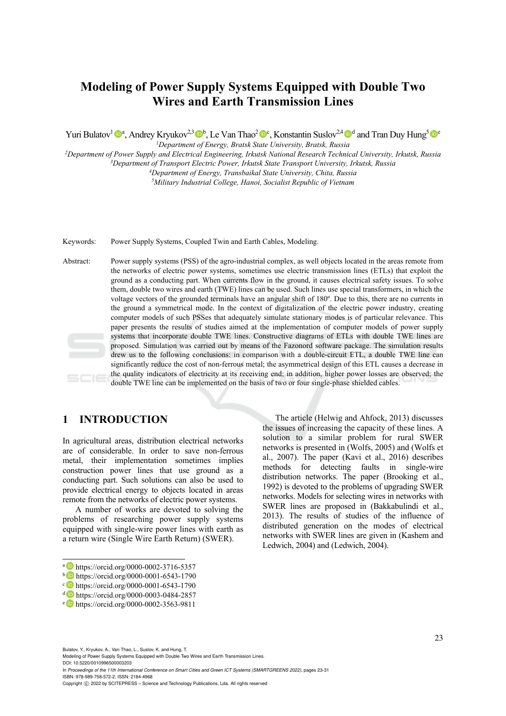# **Modeling of Power Supply Systems Equipped with Double Two Wires and Earth Transmission Lines**

Yuri Bulatov<sup>1</sup> <sup>a</sup>, Andrey Kryukov<sup>2,3</sup> <sup>b</sup>, Le Van Thao<sup>2</sup> <sup>o</sup><sup>c</sup>, Konstantin Suslov<sup>2,4</sup> <sup>o</sup><sup>d</sup> and Tran Duy Hung<sup>5</sup> <sup>o</sup><sup>c</sup><br><sup>*1</sup>Department of Energy, Bratsk State University, Bratsk, Russia*</sup>

<sup>2</sup>Department of Power Supply and Electrical Engineering, Irkutsk National Research Technical University, Irkutsk, Russia<br><sup>3</sup>Department of Transport Electric Power, Irkutsk State Transport University, Irkutsk, Russia<br><sup>4</sup>D

Keywords: Power Supply Systems, Coupled Twin and Earth Cables, Modeling.

Abstract: Power supply systems (PSS) of the agro-industrial complex, as well objects located in the areas remote from the networks of electric power systems, sometimes use electric transmission lines (ETLs) that exploit the ground as a conducting part. When currents flow in the ground, it causes electrical safety issues. To solve them, double two wires and earth (TWE) lines can be used. Such lines use special transformers, in which the voltage vectors of the grounded terminals have an angular shift of 180º. Due to this, there are no currents in the ground a symmetrical mode. In the context of digitalization of the electric power industry, creating computer models of such PSSes that adequately simulate stationary modes is of particular relevance. This paper presents the results of studies aimed at the implementation of computer models of power supply systems that incorporate double TWE lines. Constructive diagrams of ETLs with double TWE lines are proposed. Simulation was carried out by means of the Fazonord software package. The simulation results drew us to the following conclusions: in comparison with a double-circuit ETL, a double TWE line can significantly reduce the cost of non-ferrous metal; the asymmetrical design of this ETL causes a decrease in the quality indicators of electricity at its receiving end; in addition, higher power losses are observed; the double TWE line can be implemented on the basis of two or four single-phase shielded cables.

### **1 INTRODUCTION**

In agricultural areas, distribution electrical networks are of considerable. In order to save non-ferrous metal, their implementation sometimes implies construction power lines that use ground as a conducting part. Such solutions can also be used to provide electrical energy to objects located in areas remote from the networks of electric power systems.

A number of works are devoted to solving the problems of researching power supply systems equipped with single-wire power lines with earth as a return wire (Single Wire Earth Return) (SWER).

Bulatov, Y., Kryukov, A., Van Thao, L., Suslov, K. and Hung, T.

Modeling of Power Supply Systems Equipped with Double Two Wires and Earth Transmission Lines. DOI: 10.5220/0010996500003203

In *Proceedings of the 11th International Conference on Smart Cities and Green ICT Systems (SMARTGREENS 2022)*, pages 23-31 ISBN: 978-989-758-572-2; ISSN: 2184-4968

The article (Helwig and Ahfock, 2013) discusses the issues of increasing the capacity of these lines. A solution to a similar problem for rural SWER networks is presented in (Wolfs, 2005) and (Wolfs et al., 2007). The paper (Kavi et al., 2016) describes methods for detecting faults in single-wire distribution networks. The paper (Brooking et al., 1992) is devoted to the problems of upgrading SWER networks. Models for selecting wires in networks with SWER lines are proposed in (Bakkabulindi et al., 2013). The results of studies of the influence of distributed generation on the modes of electrical networks with SWER lines are given in (Kashem and Ledwich, 2004) and (Ledwich, 2004).

a https://orcid.org/0000-0002-3716-5357<br>
b https://orcid.org/0000-0001-6543-1790<br>
c https://orcid.org/0000-0001-6543-1790<br>
d https://orcid.org/0000-0003-0484-2857<br>
e https://orcid.org/0000-0002-3563-9811

Copyright © 2022 by SCITEPRESS - Science and Technology Publications, Lda. All rights reserved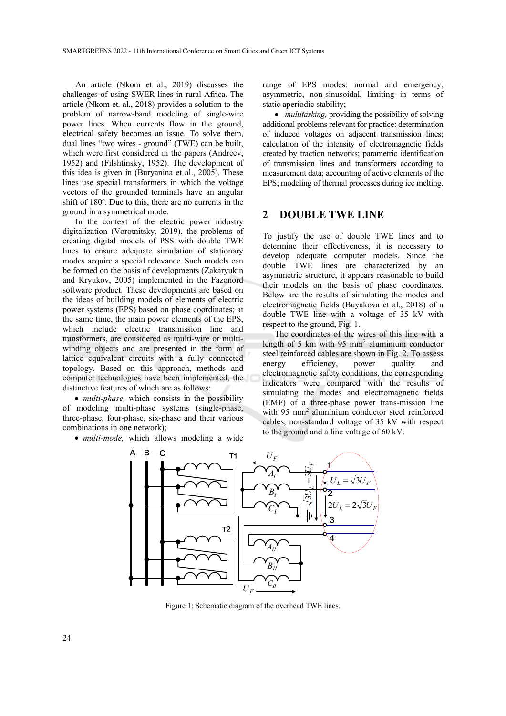An article (Nkom et al., 2019) discusses the challenges of using SWER lines in rural Africa. The article (Nkom et. al., 2018) provides a solution to the problem of narrow-band modeling of single-wire power lines. When currents flow in the ground, electrical safety becomes an issue. To solve them, dual lines "two wires - ground" (TWE) can be built, which were first considered in the papers (Andreev, 1952) and (Filshtinsky, 1952). The development of this idea is given in (Buryanina et al., 2005). These lines use special transformers in which the voltage vectors of the grounded terminals have an angular shift of 180º. Due to this, there are no currents in the ground in a symmetrical mode.

In the context of the electric power industry digitalization (Vorotnitsky, 2019), the problems of creating digital models of PSS with double TWE lines to ensure adequate simulation of stationary modes acquire a special relevance. Such models can be formed on the basis of developments (Zakaryukin and Kryukov, 2005) implemented in the Fazonord software product. These developments are based on the ideas of building models of elements of electric power systems (EPS) based on phase coordinates; at the same time, the main power elements of the EPS, which include electric transmission line and transformers, are considered as multi-wire or multiwinding objects and are presented in the form of lattice equivalent circuits with a fully connected topology. Based on this approach, methods and computer technologies have been implemented, the distinctive features of which are as follows:

• *multi-phase*, which consists in the possibility of modeling multi-phase systems (single-phase, three-phase, four-phase, six-phase and their various combinations in one network);

• *multi-mode,* which allows modeling a wide

range of EPS modes: normal and emergency, asymmetric, non-sinusoidal, limiting in terms of static aperiodic stability;

• *multitasking*, providing the possibility of solving additional problems relevant for practice: determination of induced voltages on adjacent transmission lines; calculation of the intensity of electromagnetic fields created by traction networks; parametric identification of transmission lines and transformers according to measurement data; accounting of active elements of the EPS; modeling of thermal processes during ice melting.

### **2 DOUBLE TWE LINE**

To justify the use of double TWE lines and to determine their effectiveness, it is necessary to develop adequate computer models. Since the double TWE lines are characterized by an asymmetric structure, it appears reasonable to build their models on the basis of phase coordinates. Below are the results of simulating the modes and electromagnetic fields (Buyakova et al., 2018) of a double TWE line with a voltage of 35 kV with respect to the ground, Fig. 1.

The coordinates of the wires of this line with a length of 5 km with 95 mm2 aluminium conductor steel reinforced cables are shown in Fig. 2. To assess energy efficiency, power quality and electromagnetic safety conditions, the corresponding indicators were compared with the results of simulating the modes and electromagnetic fields (EMF) of a three-phase power trans-mission line with 95 mm2 aluminium conductor steel reinforced cables, non-standard voltage of 35 kV with respect to the ground and a line voltage of 60 kV.



Figure 1: Schematic diagram of the overhead TWE lines.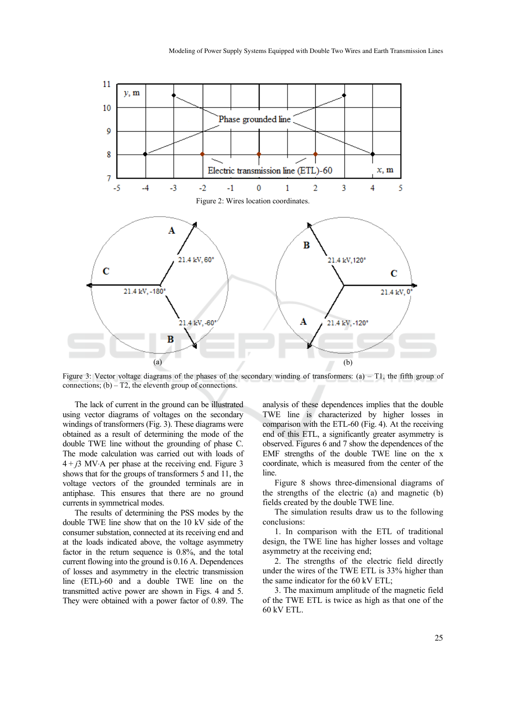

Figure 3: Vector voltage diagrams of the phases of the secondary winding of transformers: (a) – T1, the fifth group of connections;  $(b) - T2$ , the eleventh group of connections.

The lack of current in the ground can be illustrated using vector diagrams of voltages on the secondary windings of transformers (Fig. 3). These diagrams were obtained as a result of determining the mode of the double TWE line without the grounding of phase C. The mode calculation was carried out with loads of  $4 + j3$  MV⋅A per phase at the receiving end. Figure 3 shows that for the groups of transformers 5 and 11, the voltage vectors of the grounded terminals are in antiphase. This ensures that there are no ground currents in symmetrical modes.

The results of determining the PSS modes by the double TWE line show that on the 10 kV side of the consumer substation, connected at its receiving end and at the loads indicated above, the voltage asymmetry factor in the return sequence is 0.8%, and the total current flowing into the ground is 0.16 А. Dependences of losses and asymmetry in the electric transmission line (ETL)-60 and a double TWE line on the transmitted active power are shown in Figs. 4 and 5. They were obtained with a power factor of 0.89. The analysis of these dependences implies that the double TWE line is characterized by higher losses in comparison with the ETL-60 (Fig. 4). At the receiving end of this ETL, a significantly greater asymmetry is observed. Figures 6 and 7 show the dependences of the EMF strengths of the double TWE line on the x coordinate, which is measured from the center of the line.

Figure 8 shows three-dimensional diagrams of the strengths of the electric (a) and magnetic (b) fields created by the double TWE line.

The simulation results draw us to the following conclusions:

1. In comparison with the ETL of traditional design, the TWE line has higher losses and voltage asymmetry at the receiving end;

2. The strengths of the electric field directly under the wires of the TWE ETL is 33% higher than the same indicator for the 60 kV ETL;

3. The maximum amplitude of the magnetic field of the TWE ETL is twice as high as that one of the 60 kV ETL.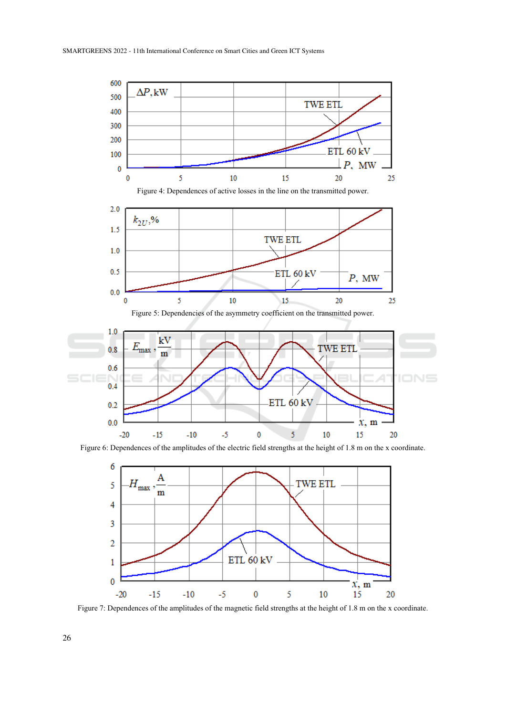

Figure 6: Dependences of the amplitudes of the electric field strengths at the height of 1.8 m on the x coordinate.



Figure 7: Dependences of the amplitudes of the magnetic field strengths at the height of 1.8 m on the x coordinate.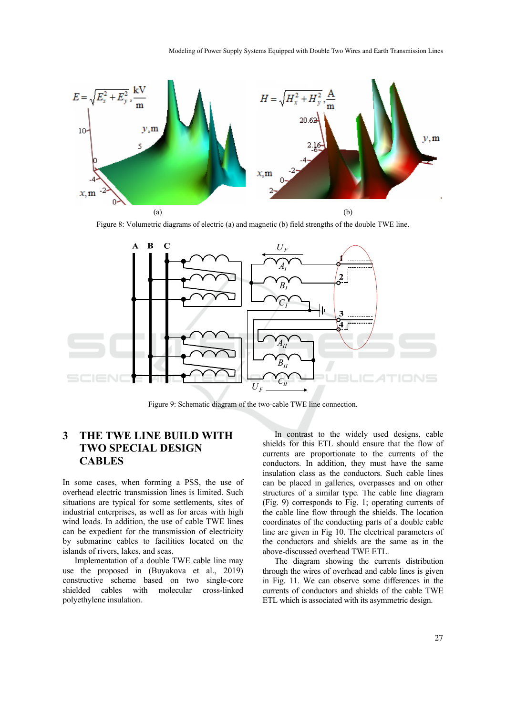

Figure 8: Volumetric diagrams of electric (a) and magnetic (b) field strengths of the double TWE line.



Figure 9: Schematic diagram of the two-cable TWE line connection.

### **3 THE TWE LINE BUILD WITH TWO SPECIAL DESIGN CABLES**

In some cases, when forming a PSS, the use of overhead electric transmission lines is limited. Such situations are typical for some settlements, sites of industrial enterprises, as well as for areas with high wind loads. In addition, the use of cable TWE lines can be expedient for the transmission of electricity by submarine cables to facilities located on the islands of rivers, lakes, and seas.

Implementation of a double TWE cable line may use the proposed in (Buyakova et al., 2019) constructive scheme based on two single-core shielded cables with molecular cross-linked polyethylene insulation.

In contrast to the widely used designs, cable shields for this ETL should ensure that the flow of currents are proportionate to the currents of the conductors. In addition, they must have the same insulation class as the conductors. Such cable lines can be placed in galleries, overpasses and on other structures of a similar type. The cable line diagram (Fig. 9) corresponds to Fig. 1; operating currents of the cable line flow through the shields. The location coordinates of the conducting parts of a double cable line are given in Fig 10. The electrical parameters of the conductors and shields are the same as in the above-discussed overhead TWE ETL.

The diagram showing the currents distribution through the wires of overhead and cable lines is given in Fig. 11. We can observe some differences in the currents of conductors and shields of the cable TWE ETL which is associated with its asymmetric design.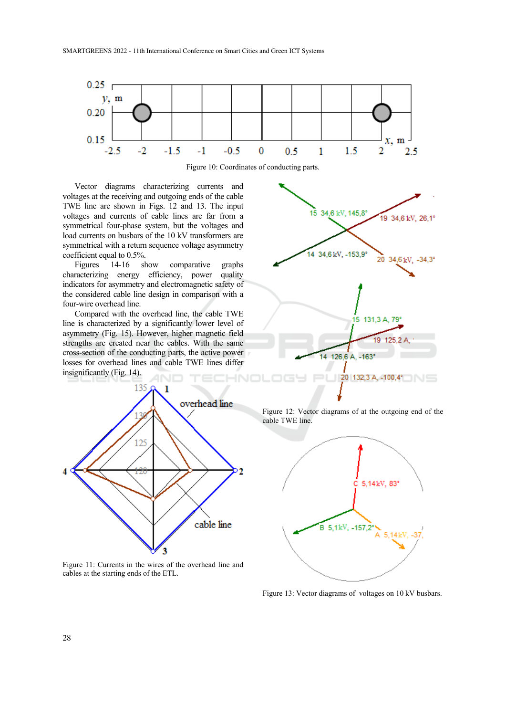

Figure 10: Coordinates of conducting parts.

Vector diagrams characterizing currents and voltages at the receiving and outgoing ends of the cable TWE line are shown in Figs. 12 and 13. The input voltages and currents of cable lines are far from a symmetrical four-phase system, but the voltages and load currents on busbars of the 10 kV transformers are symmetrical with a return sequence voltage asymmetry coefficient equal to 0.5%.

Figures 14-16 show comparative graphs characterizing energy efficiency, power quality indicators for asymmetry and electromagnetic safety of the considered cable line design in comparison with a four-wire overhead line.

Compared with the overhead line, the cable TWE line is characterized by a significantly lower level of asymmetry (Fig. 15). However, higher magnetic field strengths are created near the cables. With the same cross-section of the conducting parts, the active power losses for overhead lines and cable TWE lines differ insignificantly (Fig. 14).





Figure 11: Currents in the wires of the overhead line and cables at the starting ends of the ETL.

Figure 12: Vector diagrams of at the outgoing end of the cable TWE line.

![](_page_5_Figure_10.jpeg)

Figure 13: Vector diagrams of voltages on 10 kV busbars.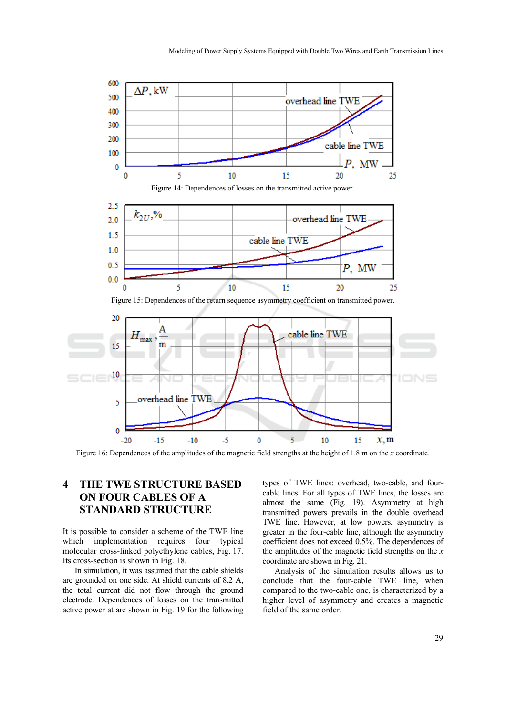![](_page_6_Figure_1.jpeg)

Figure 16: Dependences of the amplitudes of the magnetic field strengths at the height of 1.8 m on the *x* coordinate.

# **4 THE TWE STRUCTURE BASED ON FOUR CABLES OF A STANDARD STRUCTURE**

It is possible to consider a scheme of the TWE line which implementation requires four typical molecular cross-linked polyethylene cables, Fig. 17. Its cross-section is shown in Fig. 18.

In simulation, it was assumed that the cable shields are grounded on one side. At shield currents of 8.2 A, the total current did not flow through the ground electrode. Dependences of losses on the transmitted active power at are shown in Fig. 19 for the following types of TWE lines: overhead, two-cable, and fourcable lines. For all types of TWE lines, the losses are almost the same (Fig. 19). Asymmetry at high transmitted powers prevails in the double overhead TWE line. However, at low powers, asymmetry is greater in the four-cable line, although the asymmetry coefficient does not exceed 0.5%. The dependences of the amplitudes of the magnetic field strengths on the *x* coordinate are shown in Fig. 21.

Analysis of the simulation results allows us to conclude that the four-cable TWE line, when compared to the two-cable one, is characterized by a higher level of asymmetry and creates a magnetic field of the same order.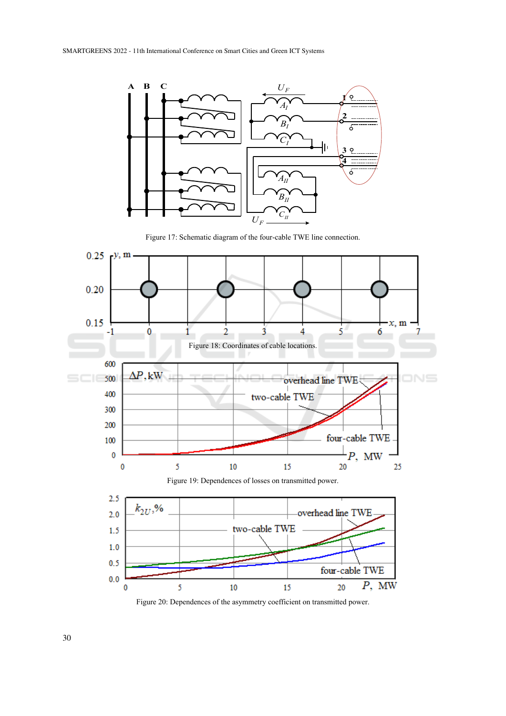![](_page_7_Figure_1.jpeg)

Figure 17: Schematic diagram of the four-cable TWE line connection.

![](_page_7_Figure_3.jpeg)

Figure 20: Dependences of the asymmetry coefficient on transmitted power.